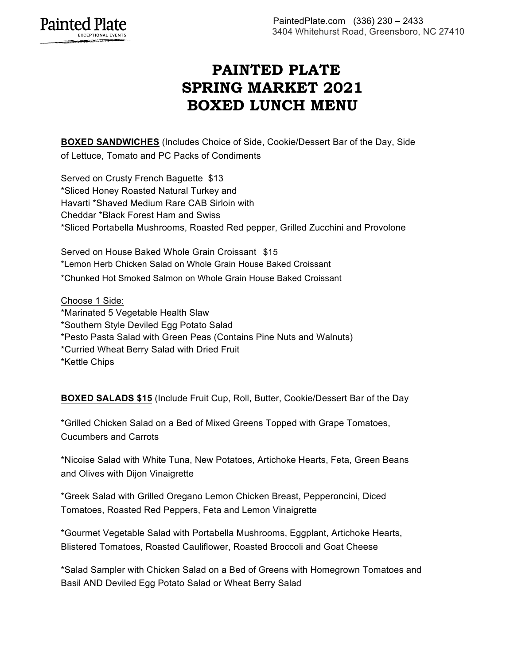## **PAINTED PLATE SPRING MARKET 2021 BOXED LUNCH MENU**

**BOXED SANDWICHES** (Includes Choice of Side, Cookie/Dessert Bar of the Day, Side of Lettuce, Tomato and PC Packs of Condiments

Served on Crusty French Baguette \$13 \*Sliced Honey Roasted Natural Turkey and Havarti \*Shaved Medium Rare CAB Sirloin with Cheddar \*Black Forest Ham and Swiss \*Sliced Portabella Mushrooms, Roasted Red pepper, Grilled Zucchini and Provolone

Served on House Baked Whole Grain Croissant \$15 \*Lemon Herb Chicken Salad on Whole Grain House Baked Croissant

\*Chunked Hot Smoked Salmon on Whole Grain House Baked Croissant

Choose 1 Side: \*Marinated 5 Vegetable Health Slaw \*Southern Style Deviled Egg Potato Salad \*Pesto Pasta Salad with Green Peas (Contains Pine Nuts and Walnuts) \*Curried Wheat Berry Salad with Dried Fruit \*Kettle Chips

**BOXED SALADS \$15** (Include Fruit Cup, Roll, Butter, Cookie/Dessert Bar of the Day

\*Grilled Chicken Salad on a Bed of Mixed Greens Topped with Grape Tomatoes, Cucumbers and Carrots

\*Nicoise Salad with White Tuna, New Potatoes, Artichoke Hearts, Feta, Green Beans and Olives with Dijon Vinaigrette

\*Greek Salad with Grilled Oregano Lemon Chicken Breast, Pepperoncini, Diced Tomatoes, Roasted Red Peppers, Feta and Lemon Vinaigrette

\*Gourmet Vegetable Salad with Portabella Mushrooms, Eggplant, Artichoke Hearts, Blistered Tomatoes, Roasted Cauliflower, Roasted Broccoli and Goat Cheese

\*Salad Sampler with Chicken Salad on a Bed of Greens with Homegrown Tomatoes and Basil AND Deviled Egg Potato Salad or Wheat Berry Salad